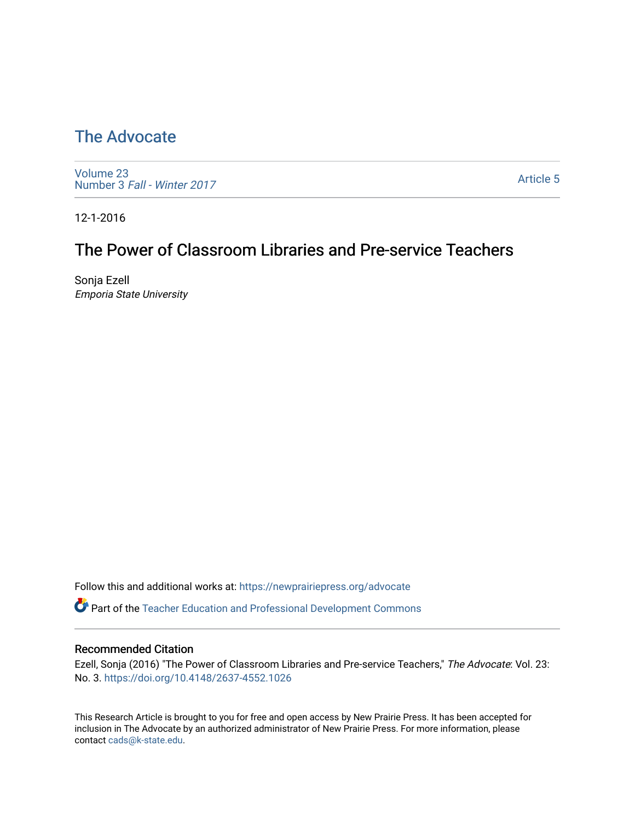# [The Advocate](https://newprairiepress.org/advocate)

[Volume 23](https://newprairiepress.org/advocate/vol23) Number 3 [Fall - Winter 2017](https://newprairiepress.org/advocate/vol23/iss3) 

[Article 5](https://newprairiepress.org/advocate/vol23/iss3/5) 

12-1-2016

## The Power of Classroom Libraries and Pre-service Teachers

Sonja Ezell Emporia State University

Follow this and additional works at: [https://newprairiepress.org/advocate](https://newprairiepress.org/advocate?utm_source=newprairiepress.org%2Fadvocate%2Fvol23%2Fiss3%2F5&utm_medium=PDF&utm_campaign=PDFCoverPages) 

Part of the [Teacher Education and Professional Development Commons](http://network.bepress.com/hgg/discipline/803?utm_source=newprairiepress.org%2Fadvocate%2Fvol23%2Fiss3%2F5&utm_medium=PDF&utm_campaign=PDFCoverPages) 

#### Recommended Citation

Ezell, Sonja (2016) "The Power of Classroom Libraries and Pre-service Teachers," The Advocate: Vol. 23: No. 3. <https://doi.org/10.4148/2637-4552.1026>

This Research Article is brought to you for free and open access by New Prairie Press. It has been accepted for inclusion in The Advocate by an authorized administrator of New Prairie Press. For more information, please contact [cads@k-state.edu](mailto:cads@k-state.edu).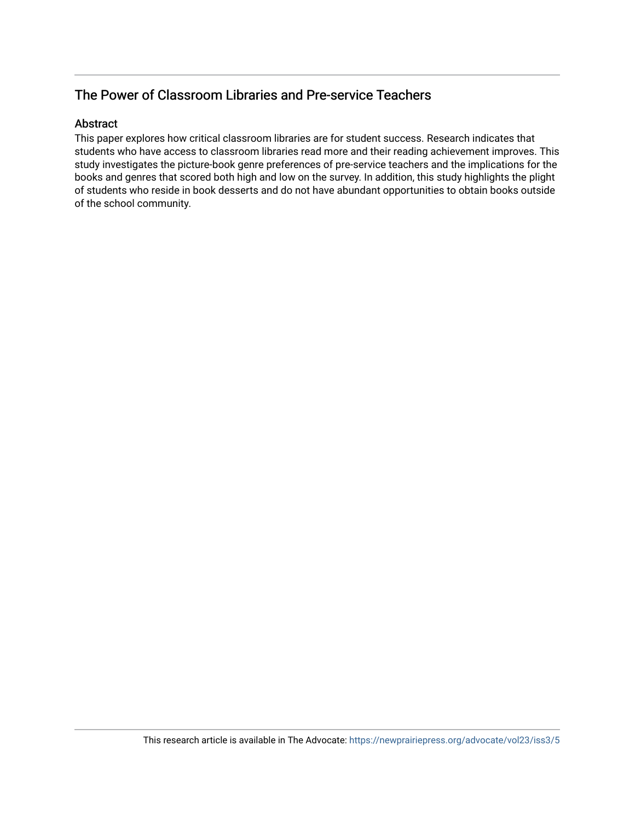## The Power of Classroom Libraries and Pre-service Teachers

#### Abstract

This paper explores how critical classroom libraries are for student success. Research indicates that students who have access to classroom libraries read more and their reading achievement improves. This study investigates the picture-book genre preferences of pre-service teachers and the implications for the books and genres that scored both high and low on the survey. In addition, this study highlights the plight of students who reside in book desserts and do not have abundant opportunities to obtain books outside of the school community.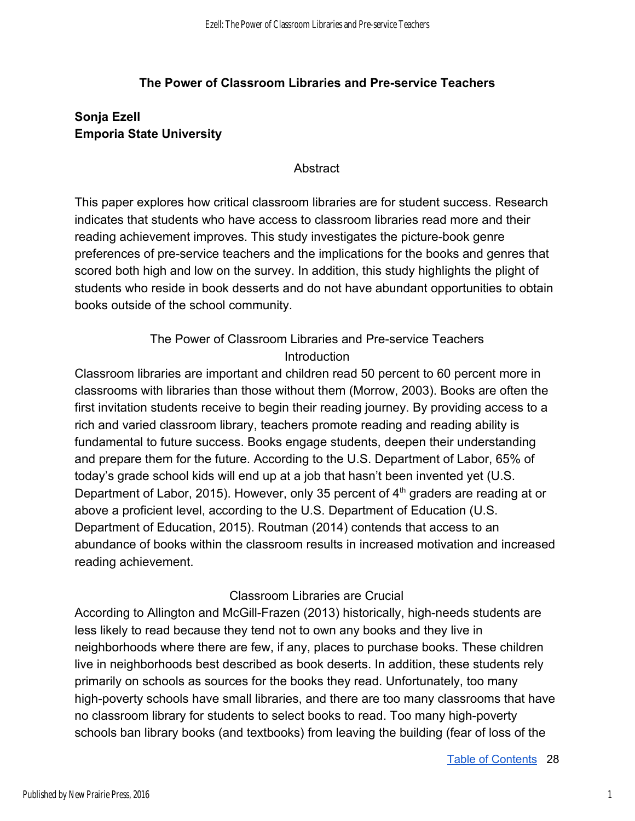#### **The Power of Classroom Libraries and Pre-service Teachers**

### **Sonja Ezell Emporia State University**

#### **Abstract**

This paper explores how critical classroom libraries are for student success. Research indicates that students who have access to classroom libraries read more and their reading achievement improves. This study investigates the picture-book genre preferences of pre-service teachers and the implications for the books and genres that scored both high and low on the survey. In addition, this study highlights the plight of students who reside in book desserts and do not have abundant opportunities to obtain books outside of the school community.

### The Power of Classroom Libraries and Pre-service Teachers **Introduction**

Classroom libraries are important and children read 50 percent to 60 percent more in classrooms with libraries than those without them (Morrow, 2003). Books are often the first invitation students receive to begin their reading journey. By providing access to a rich and varied classroom library, teachers promote reading and reading ability is fundamental to future success. Books engage students, deepen their understanding and prepare them for the future. According to the U.S. Department of Labor, 65% of today's grade school kids will end up at a job that hasn't been invented yet (U.S. Department of Labor, 2015). However, only 35 percent of  $4<sup>th</sup>$  graders are reading at or above a proficient level, according to the U.S. Department of Education (U.S. Department of Education, 2015). Routman (2014) contends that access to an abundance of books within the classroom results in increased motivation and increased reading achievement.

#### Classroom Libraries are Crucial

According to Allington and McGill-Frazen (2013) historically, high-needs students are less likely to read because they tend not to own any books and they live in neighborhoods where there are few, if any, places to purchase books. These children live in neighborhoods best described as book deserts. In addition, these students rely primarily on schools as sources for the books they read. Unfortunately, too many high-poverty schools have small libraries, and there are too many classrooms that have no classroom library for students to select books to read. Too many high-poverty schools ban library books (and textbooks) from leaving the building (fear of loss of the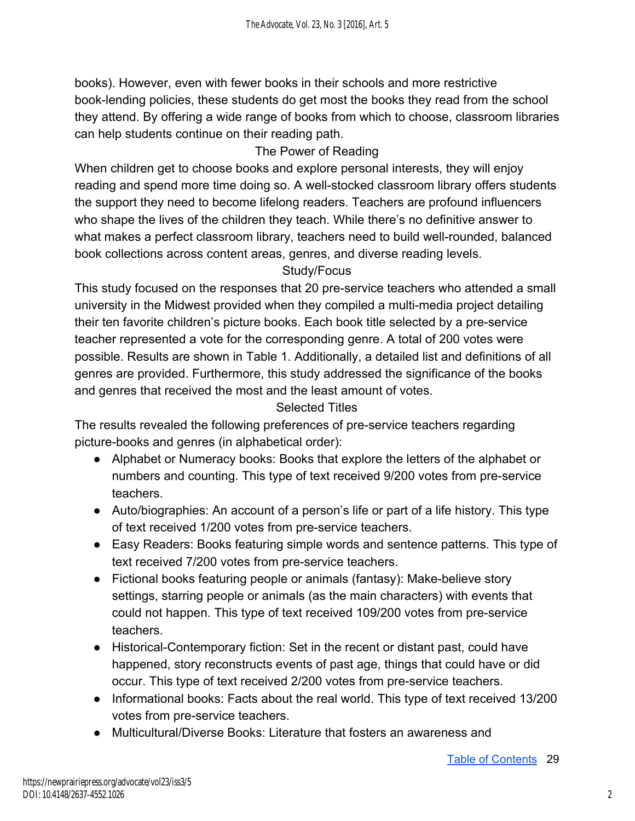books). However, even with fewer books in their schools and more restrictive book-lending policies, these students do get most the books they read from the school they attend. By offering a wide range of books from which to choose, classroom libraries can help students continue on their reading path.

### The Power of Reading

When children get to choose books and explore personal interests, they will enjoy reading and spend more time doing so. A well-stocked classroom library offers students the support they need to become lifelong readers. Teachers are profound influencers who shape the lives of the children they teach. While there's no definitive answer to what makes a perfect classroom library, teachers need to build well-rounded, balanced book collections across content areas, genres, and diverse reading levels.

### Study/Focus

This study focused on the responses that 20 pre-service teachers who attended a small university in the Midwest provided when they compiled a multi-media project detailing their ten favorite children's picture books. Each book title selected by a pre-service teacher represented a vote for the corresponding genre. A total of 200 votes were possible. Results are shown in Table 1. Additionally, a detailed list and definitions of all genres are provided. Furthermore, this study addressed the significance of the books and genres that received the most and the least amount of votes.

### Selected Titles

The results revealed the following preferences of pre-service teachers regarding picture-books and genres (in alphabetical order):

- Alphabet or Numeracy books: Books that explore the letters of the alphabet or numbers and counting. This type of text received 9/200 votes from pre-service teachers.
- Auto/biographies: An account of a person's life or part of a life history. This type of text received 1/200 votes from pre-service teachers.
- Easy Readers: Books featuring simple words and sentence patterns. This type of text received 7/200 votes from pre-service teachers.
- Fictional books featuring people or animals (fantasy): Make-believe story settings, starring people or animals (as the main characters) with events that could not happen. This type of text received 109/200 votes from pre-service teachers.
- Historical-Contemporary fiction: Set in the recent or distant past, could have happened, story reconstructs events of past age, things that could have or did occur. This type of text received 2/200 votes from pre-service teachers.
- Informational books: Facts about the real world. This type of text received 13/200 votes from pre-service teachers.
- Multicultural/Diverse Books: Literature that fosters an awareness and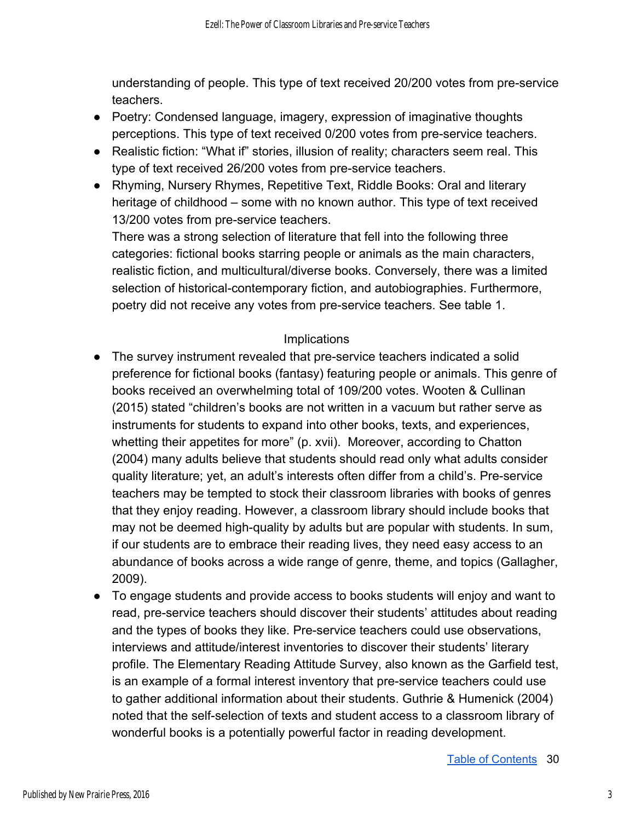understanding of people. This type of text received 20/200 votes from pre-service teachers.

- Poetry: Condensed language, imagery, expression of imaginative thoughts perceptions. This type of text received 0/200 votes from pre-service teachers.
- Realistic fiction: "What if" stories, illusion of reality; characters seem real. This type of text received 26/200 votes from pre-service teachers.
- Rhyming, Nursery Rhymes, Repetitive Text, Riddle Books: Oral and literary heritage of childhood – some with no known author. This type of text received 13/200 votes from pre-service teachers.

There was a strong selection of literature that fell into the following three categories: fictional books starring people or animals as the main characters, realistic fiction, and multicultural/diverse books. Conversely, there was a limited selection of historical-contemporary fiction, and autobiographies. Furthermore, poetry did not receive any votes from pre-service teachers. See table 1.

#### Implications

- The survey instrument revealed that pre-service teachers indicated a solid preference for fictional books (fantasy) featuring people or animals. This genre of books received an overwhelming total of 109/200 votes. Wooten & Cullinan (2015) stated "children's books are not written in a vacuum but rather serve as instruments for students to expand into other books, texts, and experiences, whetting their appetites for more" (p. xvii). Moreover, according to Chatton (2004) many adults believe that students should read only what adults consider quality literature; yet, an adult's interests often differ from a child's. Pre-service teachers may be tempted to stock their classroom libraries with books of genres that they enjoy reading. However, a classroom library should include books that may not be deemed high-quality by adults but are popular with students. In sum, if our students are to embrace their reading lives, they need easy access to an abundance of books across a wide range of genre, theme, and topics (Gallagher, 2009).
- To engage students and provide access to books students will enjoy and want to read, pre-service teachers should discover their students' attitudes about reading and the types of books they like. Pre-service teachers could use observations, interviews and attitude/interest inventories to discover their students' literary profile. The Elementary Reading Attitude Survey, also known as the Garfield test, is an example of a formal interest inventory that pre-service teachers could use to gather additional information about their students. Guthrie & Humenick (2004) noted that the self-selection of texts and student access to a classroom library of wonderful books is a potentially powerful factor in reading development.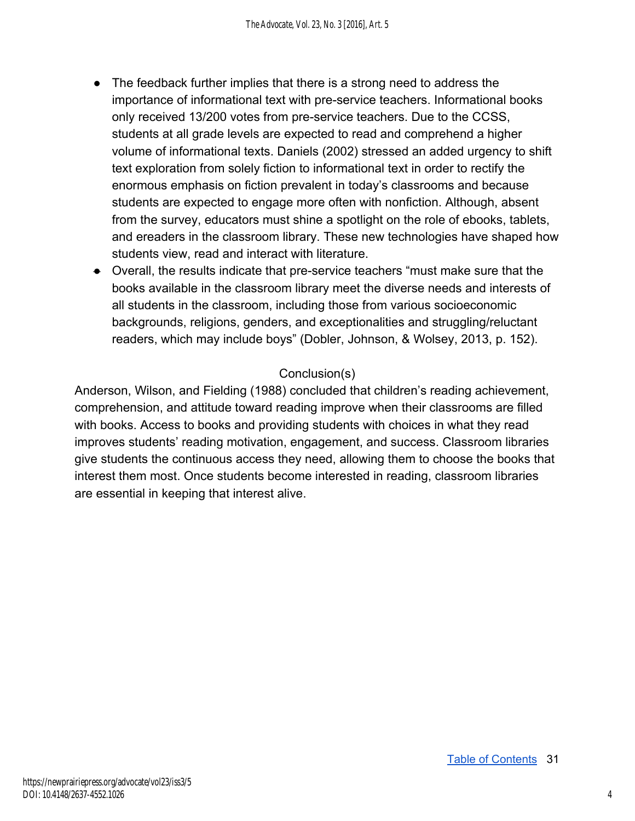- The feedback further implies that there is a strong need to address the importance of informational text with pre-service teachers. Informational books only received 13/200 votes from pre-service teachers. Due to the CCSS, students at all grade levels are expected to read and comprehend a higher volume of informational texts. Daniels (2002) stressed an added urgency to shift text exploration from solely fiction to informational text in order to rectify the enormous emphasis on fiction prevalent in today's classrooms and because students are expected to engage more often with nonfiction. Although, absent from the survey, educators must shine a spotlight on the role of ebooks, tablets, and ereaders in the classroom library. These new technologies have shaped how students view, read and interact with literature.
- Overall, the results indicate that pre-service teachers "must make sure that the books available in the classroom library meet the diverse needs and interests of all students in the classroom, including those from various socioeconomic backgrounds, religions, genders, and exceptionalities and struggling/reluctant readers, which may include boys" (Dobler, Johnson, & Wolsey, 2013, p. 152).

### Conclusion(s)

Anderson, Wilson, and Fielding (1988) concluded that children's reading achievement, comprehension, and attitude toward reading improve when their classrooms are filled with books. Access to books and providing students with choices in what they read improves students' reading motivation, engagement, and success. Classroom libraries give students the continuous access they need, allowing them to choose the books that interest them most. Once students become interested in reading, classroom libraries are essential in keeping that interest alive.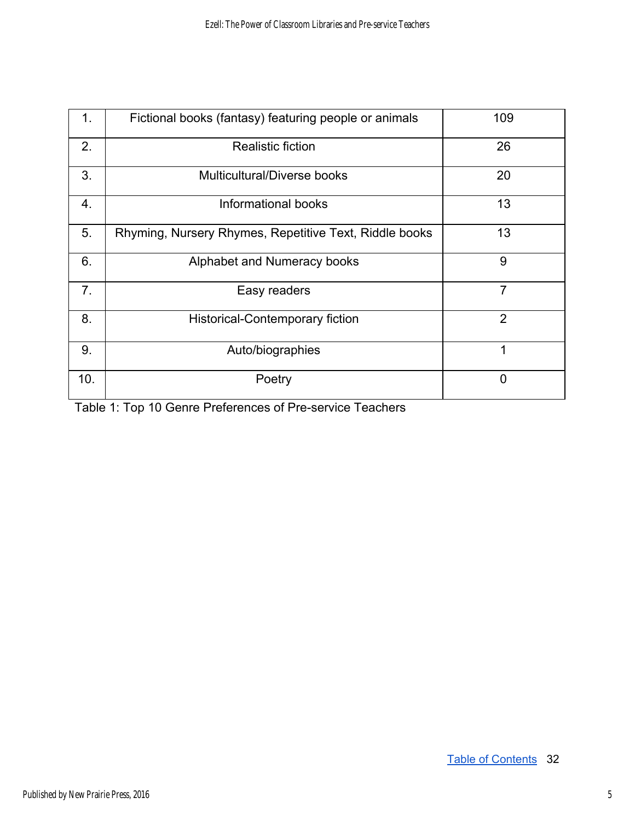| 1.             | Fictional books (fantasy) featuring people or animals  | 109            |
|----------------|--------------------------------------------------------|----------------|
| 2.             | <b>Realistic fiction</b>                               | 26             |
| 3.             | Multicultural/Diverse books                            | 20             |
| 4.             | Informational books                                    | 13             |
| 5.             | Rhyming, Nursery Rhymes, Repetitive Text, Riddle books | 13             |
| 6.             | Alphabet and Numeracy books                            | 9              |
| 7 <sub>1</sub> | Easy readers                                           | $\overline{7}$ |
| 8.             | <b>Historical-Contemporary fiction</b>                 | $\overline{2}$ |
| 9.             | Auto/biographies                                       | 1              |
| 10.            | Poetry                                                 | 0              |

Table 1: Top 10 Genre Preferences of Pre-service Teachers